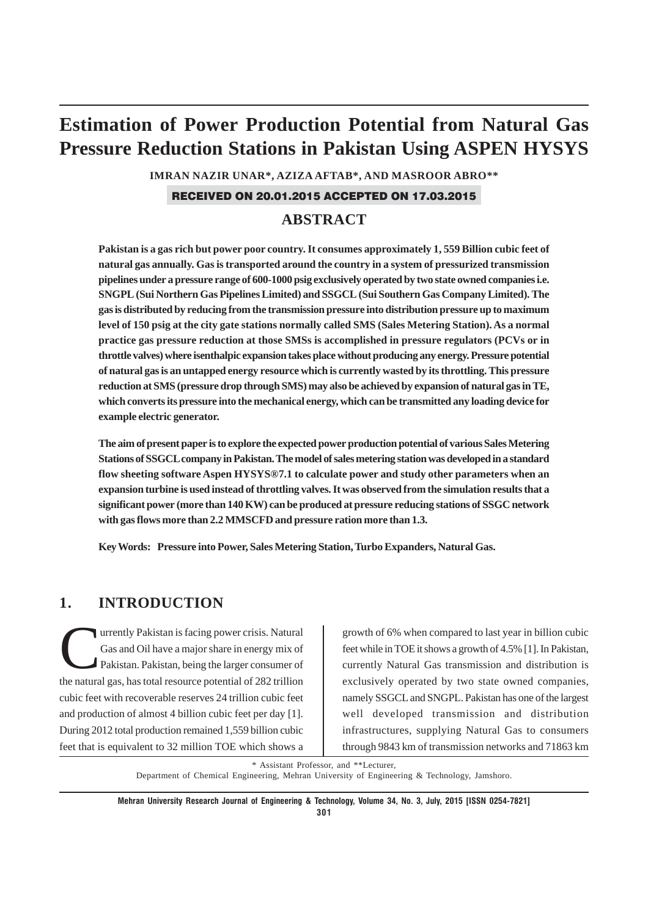# **Estimation of Power Production Potential from Natural Gas Pressure Reduction Stations in Pakistan Using ASPEN HYSYS**

**IMRAN NAZIR UNAR\*, AZIZA AFTAB\*, AND MASROOR ABRO\*\***

#### RECEIVED ON 20.01.2015 ACCEPTED ON 17.03.2015

# **ABSTRACT**

**Pakistan is a gas rich but power poor country. It consumes approximately 1, 559 Billion cubic feet of natural gas annually. Gas is transported around the country in a system of pressurized transmission pipelines under a pressure range of 600-1000 psig exclusively operated by two state owned companies i.e. SNGPL (Sui Northern Gas Pipelines Limited) and SSGCL (Sui Southern Gas Company Limited). The gas is distributed by reducing from the transmission pressure into distribution pressure up to maximum level of 150 psig at the city gate stations normally called SMS (Sales Metering Station). As a normal practice gas pressure reduction at those SMSs is accomplished in pressure regulators (PCVs or in throttle valves) where isenthalpic expansion takes place without producing any energy. Pressure potential of natural gas is an untapped energy resource which is currently wasted by its throttling. This pressure reduction at SMS (pressure drop through SMS) may also be achieved by expansion of natural gas in TE, which converts its pressure into the mechanical energy, which can be transmitted any loading device for example electric generator.**

**The aim of present paper is to explore the expected power production potential of various Sales Metering Stations of SSGCL company in Pakistan. The model of sales metering station was developed in a standard flow sheeting software Aspen HYSYS®7.1 to calculate power and study other parameters when an expansion turbine is used instead of throttling valves. It was observed from the simulation results that a significant power (more than 140 KW) can be produced at pressure reducing stations of SSGC network with gas flows more than 2.2 MMSCFD and pressure ration more than 1.3.**

**Key Words: Pressure into Power, Sales Metering Station, Turbo Expanders, Natural Gas.**

# **1. INTRODUCTION**

urrently Pakistan is facing power crisis. Natural<br>Gas and Oil have a major share in energy mix of<br>Pakistan. Pakistan, being the larger consumer of Gas and Oil have a major share in energy mix of Pakistan. Pakistan, being the larger consumer of the natural gas, has total resource potential of 282 trillion cubic feet with recoverable reserves 24 trillion cubic feet and production of almost 4 billion cubic feet per day [1]. During 2012 total production remained 1,559 billion cubic feet that is equivalent to 32 million TOE which shows a

growth of 6% when compared to last year in billion cubic feet while in TOE it shows a growth of 4.5% [1]. In Pakistan, currently Natural Gas transmission and distribution is exclusively operated by two state owned companies, namely SSGCL and SNGPL. Pakistan has one of the largest well developed transmission and distribution infrastructures, supplying Natural Gas to consumers through 9843 km of transmission networks and 71863 km

\* Assistant Professor, and \*\*Lecturer,

Department of Chemical Engineering, Mehran University of Engineering & Technology, Jamshoro.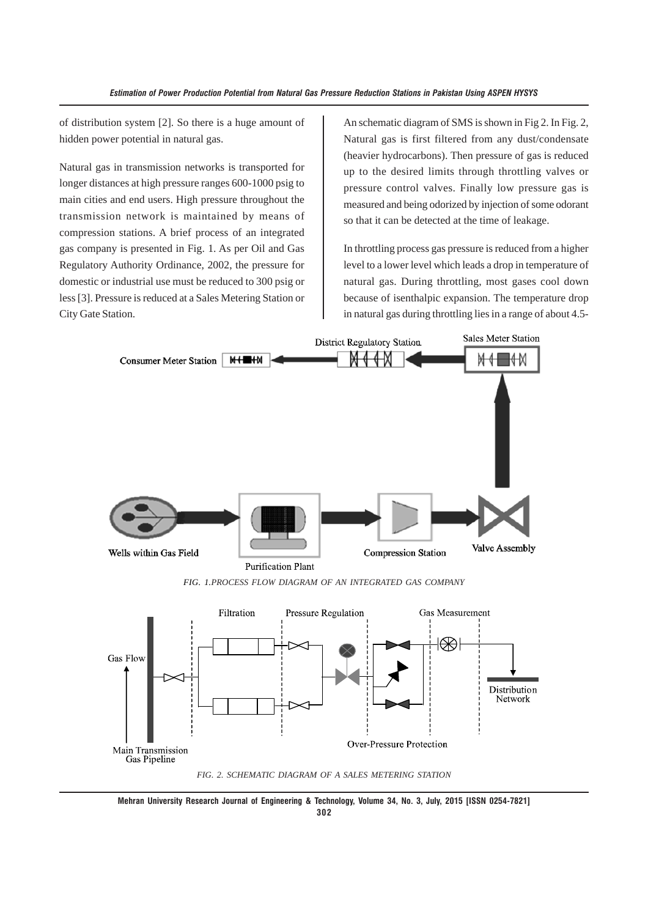of distribution system [2]. So there is a huge amount of hidden power potential in natural gas.

Natural gas in transmission networks is transported for longer distances at high pressure ranges 600-1000 psig to main cities and end users. High pressure throughout the transmission network is maintained by means of compression stations. A brief process of an integrated gas company is presented in Fig. 1. As per Oil and Gas Regulatory Authority Ordinance, 2002, the pressure for domestic or industrial use must be reduced to 300 psig or less [3]. Pressure is reduced at a Sales Metering Station or City Gate Station.

An schematic diagram of SMS is shown in Fig 2. In Fig. 2, Natural gas is first filtered from any dust/condensate (heavier hydrocarbons). Then pressure of gas is reduced up to the desired limits through throttling valves or pressure control valves. Finally low pressure gas is measured and being odorized by injection of some odorant so that it can be detected at the time of leakage.

In throttling process gas pressure is reduced from a higher level to a lower level which leads a drop in temperature of natural gas. During throttling, most gases cool down because of isenthalpic expansion. The temperature drop in natural gas during throttling lies in a range of about 4.5-



**302**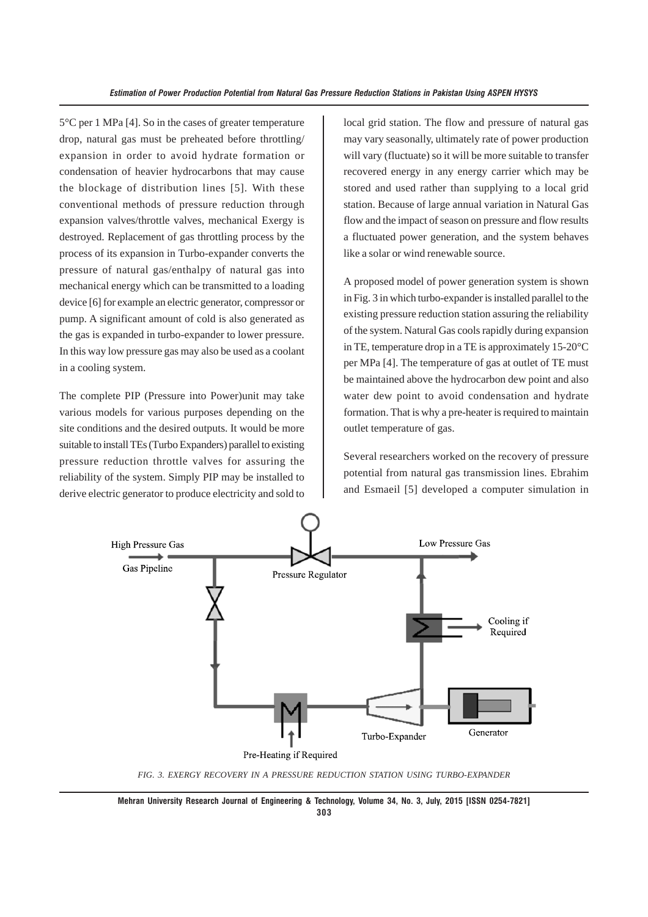5°C per 1 MPa [4]. So in the cases of greater temperature drop, natural gas must be preheated before throttling/ expansion in order to avoid hydrate formation or condensation of heavier hydrocarbons that may cause the blockage of distribution lines [5]. With these conventional methods of pressure reduction through expansion valves/throttle valves, mechanical Exergy is destroyed. Replacement of gas throttling process by the process of its expansion in Turbo-expander converts the pressure of natural gas/enthalpy of natural gas into mechanical energy which can be transmitted to a loading device [6] for example an electric generator, compressor or pump. A significant amount of cold is also generated as the gas is expanded in turbo-expander to lower pressure. In this way low pressure gas may also be used as a coolant in a cooling system.

The complete PIP (Pressure into Power)unit may take various models for various purposes depending on the site conditions and the desired outputs. It would be more suitable to install TEs (Turbo Expanders) parallel to existing pressure reduction throttle valves for assuring the reliability of the system. Simply PIP may be installed to derive electric generator to produce electricity and sold to local grid station. The flow and pressure of natural gas may vary seasonally, ultimately rate of power production will vary (fluctuate) so it will be more suitable to transfer recovered energy in any energy carrier which may be stored and used rather than supplying to a local grid station. Because of large annual variation in Natural Gas flow and the impact of season on pressure and flow results a fluctuated power generation, and the system behaves like a solar or wind renewable source.

A proposed model of power generation system is shown in Fig. 3 in which turbo-expander is installed parallel to the existing pressure reduction station assuring the reliability of the system. Natural Gas cools rapidly during expansion in TE, temperature drop in a TE is approximately 15-20°C per MPa [4]. The temperature of gas at outlet of TE must be maintained above the hydrocarbon dew point and also water dew point to avoid condensation and hydrate formation. That is why a pre-heater is required to maintain outlet temperature of gas.

Several researchers worked on the recovery of pressure potential from natural gas transmission lines. Ebrahim and Esmaeil [5] developed a computer simulation in



*FIG. 3. EXERGY RECOVERY IN A PRESSURE REDUCTION STATION USING TURBO-EXPANDER*

**Mehran University Research Journal of Engineering & Technology, Volume 34, No. 3, July, 2015 [ISSN 0254-7821] 303**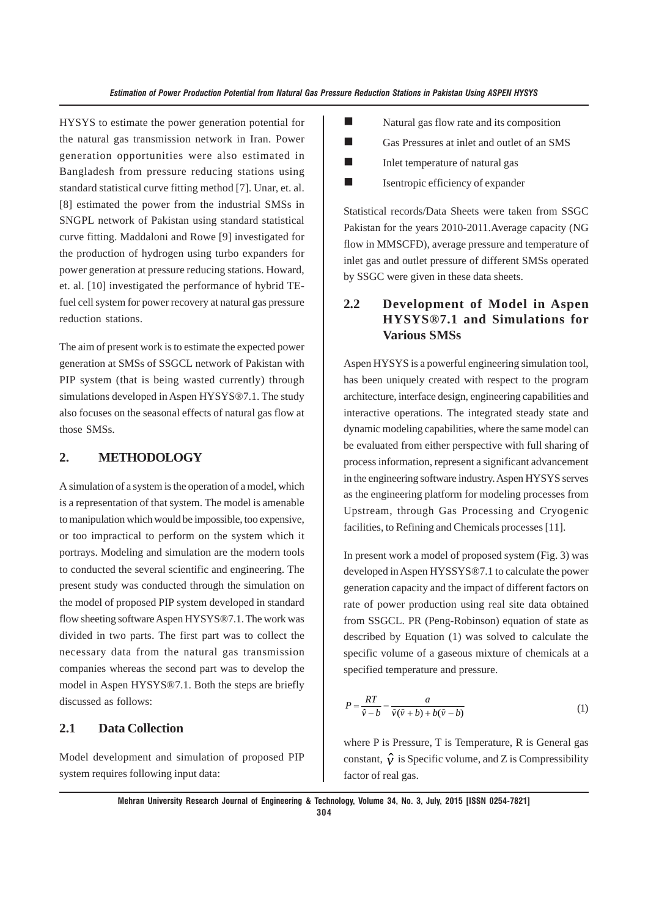HYSYS to estimate the power generation potential for the natural gas transmission network in Iran. Power generation opportunities were also estimated in Bangladesh from pressure reducing stations using standard statistical curve fitting method [7]. Unar, et. al. [8] estimated the power from the industrial SMSs in SNGPL network of Pakistan using standard statistical curve fitting. Maddaloni and Rowe [9] investigated for the production of hydrogen using turbo expanders for power generation at pressure reducing stations. Howard, et. al. [10] investigated the performance of hybrid TEfuel cell system for power recovery at natural gas pressure reduction stations.

The aim of present work is to estimate the expected power generation at SMSs of SSGCL network of Pakistan with PIP system (that is being wasted currently) through simulations developed in Aspen HYSYS®7.1. The study also focuses on the seasonal effects of natural gas flow at those SMSs.

#### **2. METHODOLOGY**

A simulation of a system is the operation of a model, which is a representation of that system. The model is amenable to manipulation which would be impossible, too expensive, or too impractical to perform on the system which it portrays. Modeling and simulation are the modern tools to conducted the several scientific and engineering. The present study was conducted through the simulation on the model of proposed PIP system developed in standard flow sheeting software Aspen HYSYS®7.1. The work was divided in two parts. The first part was to collect the necessary data from the natural gas transmission companies whereas the second part was to develop the model in Aspen HYSYS®7.1. Both the steps are briefly discussed as follows:

# **2.1 Data Collection**

Model development and simulation of proposed PIP system requires following input data:

- **Natural gas flow rate and its composition**
- Gas Pressures at inlet and outlet of an SMS
- $\blacksquare$  Inlet temperature of natural gas
- $\blacksquare$  Isentropic efficiency of expander

Statistical records/Data Sheets were taken from SSGC Pakistan for the years 2010-2011.Average capacity (NG flow in MMSCFD), average pressure and temperature of inlet gas and outlet pressure of different SMSs operated by SSGC were given in these data sheets.

# **2.2 Development of Model in Aspen HYSYS®7.1 and Simulations for Various SMSs**

Aspen HYSYS is a powerful engineering simulation tool, has been uniquely created with respect to the program architecture, interface design, engineering capabilities and interactive operations. The integrated steady state and dynamic modeling capabilities, where the same model can be evaluated from either perspective with full sharing of process information, represent a significant advancement in the engineering software industry. Aspen HYSYS serves as the engineering platform for modeling processes from Upstream, through Gas Processing and Cryogenic facilities, to Refining and Chemicals processes [11].

In present work a model of proposed system (Fig. 3) was developed in Aspen HYSSYS®7.1 to calculate the power generation capacity and the impact of different factors on rate of power production using real site data obtained from SSGCL. PR (Peng-Robinson) equation of state as described by Equation (1) was solved to calculate the specific volume of a gaseous mixture of chemicals at a specified temperature and pressure.

$$
P = \frac{RT}{\hat{v} - b} - \frac{a}{\hat{v}(\hat{v} + b) + b(\hat{v} - b)}
$$
(1)

where P is Pressure, T is Temperature, R is General gas constant,  $\hat{v}$  is Specific volume, and Z is Compressibility factor of real gas.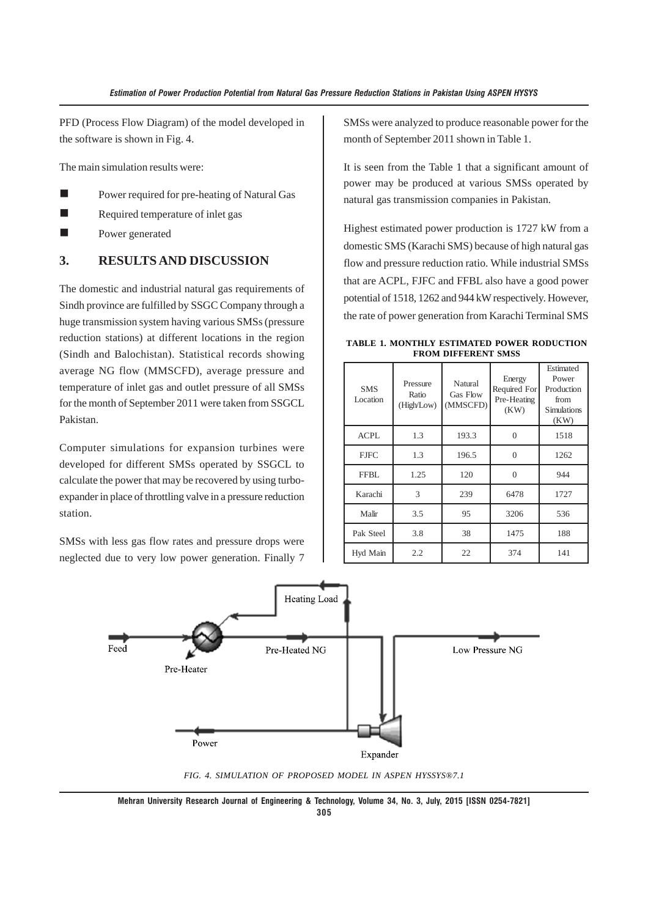PFD (Process Flow Diagram) of the model developed in the software is shown in Fig. 4.

The main simulation results were:

- **Power required for pre-heating of Natural Gas**
- Required temperature of inlet gas
- Power generated

#### **3. RESULTS AND DISCUSSION**

The domestic and industrial natural gas requirements of Sindh province are fulfilled by SSGC Company through a huge transmission system having various SMSs (pressure reduction stations) at different locations in the region (Sindh and Balochistan). Statistical records showing average NG flow (MMSCFD), average pressure and temperature of inlet gas and outlet pressure of all SMSs for the month of September 2011 were taken from SSGCL Pakistan.

Computer simulations for expansion turbines were developed for different SMSs operated by SSGCL to calculate the power that may be recovered by using turboexpander in place of throttling valve in a pressure reduction station.

SMSs with less gas flow rates and pressure drops were neglected due to very low power generation. Finally 7

SMSs were analyzed to produce reasonable power for the month of September 2011 shown in Table 1.

It is seen from the Table 1 that a significant amount of power may be produced at various SMSs operated by natural gas transmission companies in Pakistan.

Highest estimated power production is 1727 kW from a domestic SMS (Karachi SMS) because of high natural gas flow and pressure reduction ratio. While industrial SMSs that are ACPL, FJFC and FFBL also have a good power potential of 1518, 1262 and 944 kW respectively. However, the rate of power generation from Karachi Terminal SMS

**TABLE 1. MONTHLY ESTIMATED POWER RODUCTION FROM DIFFERENT SMSS**

| <b>SMS</b><br>Location | Pressure<br>Ratio<br>(High/Low) | Energy<br>Natural<br>Required For<br><b>Gas Flow</b><br>Pre-Heating<br>(MMSCFD)<br>(KW) |          | Estimated<br>Power<br>Production<br>from<br><b>Simulations</b><br>(KW) |  |
|------------------------|---------------------------------|-----------------------------------------------------------------------------------------|----------|------------------------------------------------------------------------|--|
| ACPL                   | 1.3                             | 193.3                                                                                   | $\Omega$ | 1518                                                                   |  |
| <b>FJFC</b>            | 1.3                             | 196.5                                                                                   | $\Omega$ | 1262                                                                   |  |
| FFBL.                  | 1.25                            | 120                                                                                     | $\Omega$ | 944                                                                    |  |
| Karachi                | 3                               | 239                                                                                     | 6478     | 1727                                                                   |  |
| Malir                  | 3.5                             | 95                                                                                      | 3206     | 536                                                                    |  |
| Pak Steel              | 3.8                             | 38                                                                                      | 1475     | 188                                                                    |  |
| Hyd Main               | 2.2                             | 22                                                                                      | 374      | 141                                                                    |  |



*FIG. 4. SIMULATION OF PROPOSED MODEL IN ASPEN HYSSYS®7.1*

**Mehran University Research Journal of Engineering & Technology, Volume 34, No. 3, July, 2015 [ISSN 0254-7821] 305**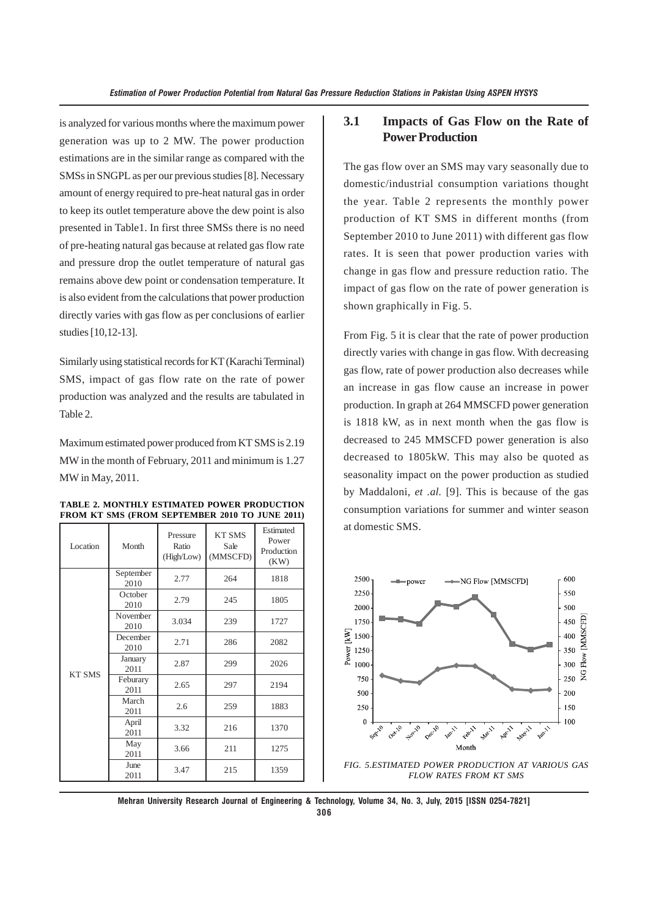is analyzed for various months where the maximum power generation was up to 2 MW. The power production estimations are in the similar range as compared with the SMSs in SNGPL as per our previous studies [8]. Necessary amount of energy required to pre-heat natural gas in order to keep its outlet temperature above the dew point is also presented in Table1. In first three SMSs there is no need of pre-heating natural gas because at related gas flow rate and pressure drop the outlet temperature of natural gas remains above dew point or condensation temperature. It is also evident from the calculations that power production directly varies with gas flow as per conclusions of earlier studies [10,12-13].

Similarly using statistical records for KT (Karachi Terminal) SMS, impact of gas flow rate on the rate of power production was analyzed and the results are tabulated in Table 2.

Maximum estimated power produced from KT SMS is 2.19 MW in the month of February, 2011 and minimum is 1.27 MW in May, 2011.

| Location      | Month             | Pressure<br>Ratio<br>(High/Low) | <b>KT SMS</b><br>Sale<br>(MMSCFD) | Estimated<br>Power<br>Production<br>(KW) |  |
|---------------|-------------------|---------------------------------|-----------------------------------|------------------------------------------|--|
|               | September<br>2010 | 2.77                            | 264                               | 1818                                     |  |
|               | October<br>2010   | 2.79                            | 245                               | 1805                                     |  |
|               | November<br>2010  | 3.034<br>239                    |                                   | 1727                                     |  |
|               | December<br>2010  | 2.71                            | 286                               | 2082                                     |  |
|               | January<br>2011   | 2.87                            | 299                               | 2026                                     |  |
| <b>KT SMS</b> | Feburary<br>2011  | 2.65                            | 297                               | 2194                                     |  |
|               | March<br>2011     | 2.6                             | 259                               | 1883                                     |  |
|               | April<br>2011     | 3.32                            | 216                               | 1370                                     |  |
|               | May<br>2011       | 3.66                            | 211                               | 1275                                     |  |
|               | June<br>2011      | 3.47                            | 215                               | 1359                                     |  |

**TABLE 2. MONTHLY ESTIMATED POWER PRODUCTION FROM KT SMS (FROM SEPTEMBER 2010 TO JUNE 2011)**

# **3.1 Impacts of Gas Flow on the Rate of Power Production**

The gas flow over an SMS may vary seasonally due to domestic/industrial consumption variations thought the year. Table 2 represents the monthly power production of KT SMS in different months (from September 2010 to June 2011) with different gas flow rates. It is seen that power production varies with change in gas flow and pressure reduction ratio. The impact of gas flow on the rate of power generation is shown graphically in Fig. 5.

From Fig. 5 it is clear that the rate of power production directly varies with change in gas flow. With decreasing gas flow, rate of power production also decreases while an increase in gas flow cause an increase in power production. In graph at 264 MMSCFD power generation is 1818 kW, as in next month when the gas flow is decreased to 245 MMSCFD power generation is also decreased to 1805kW. This may also be quoted as seasonality impact on the power production as studied by Maddaloni, *et .al.* [9]. This is because of the gas consumption variations for summer and winter season at domestic SMS.



*FLOW RATES FROM KT SMS*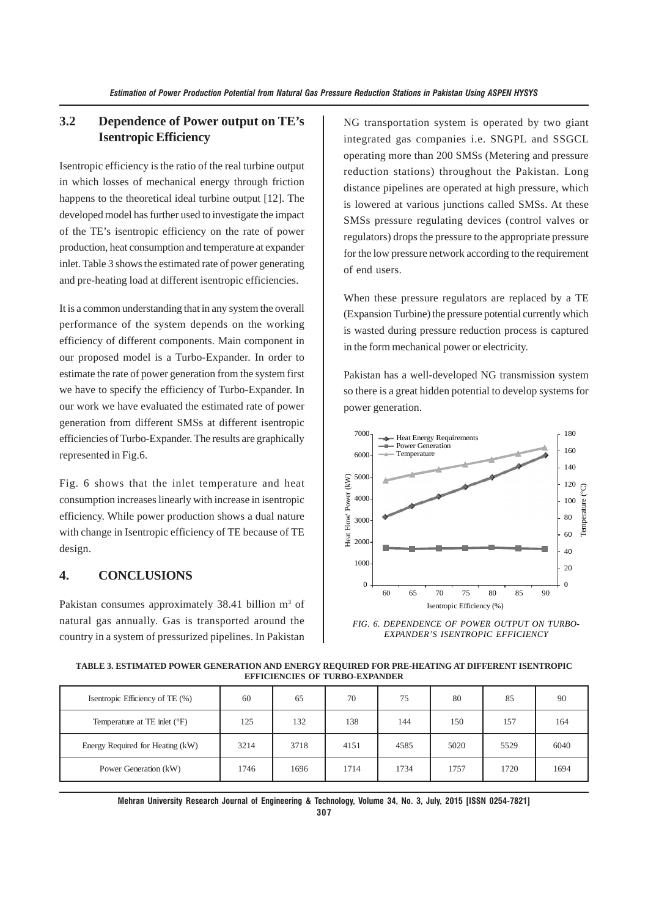# **3.2 Dependence of Power output on TE's Isentropic Efficiency**

Isentropic efficiency is the ratio of the real turbine output in which losses of mechanical energy through friction happens to the theoretical ideal turbine output [12]. The developed model has further used to investigate the impact of the TE's isentropic efficiency on the rate of power production, heat consumption and temperature at expander inlet. Table 3 shows the estimated rate of power generating and pre-heating load at different isentropic efficiencies.

It is a common understanding that in any system the overall performance of the system depends on the working efficiency of different components. Main component in our proposed model is a Turbo-Expander. In order to estimate the rate of power generation from the system first we have to specify the efficiency of Turbo-Expander. In our work we have evaluated the estimated rate of power generation from different SMSs at different isentropic efficiencies of Turbo-Expander. The results are graphically represented in Fig.6.

Fig. 6 shows that the inlet temperature and heat consumption increases linearly with increase in isentropic efficiency. While power production shows a dual nature with change in Isentropic efficiency of TE because of TE design.

# **4. CONCLUSIONS**

Pakistan consumes approximately 38.41 billion m<sup>3</sup> of natural gas annually. Gas is transported around the country in a system of pressurized pipelines. In Pakistan

NG transportation system is operated by two giant integrated gas companies i.e. SNGPL and SSGCL operating more than 200 SMSs (Metering and pressure reduction stations) throughout the Pakistan. Long distance pipelines are operated at high pressure, which is lowered at various junctions called SMSs. At these SMSs pressure regulating devices (control valves or regulators) drops the pressure to the appropriate pressure for the low pressure network according to the requirement of end users.

When these pressure regulators are replaced by a TE (Expansion Turbine) the pressure potential currently which is wasted during pressure reduction process is captured in the form mechanical power or electricity.

Pakistan has a well-developed NG transmission system so there is a great hidden potential to develop systems for power generation.



*FIG. 6. DEPENDENCE OF POWER OUTPUT ON TURBO-EXPANDER'S ISENTROPIC EFFICIENCY*

**TABLE 3. ESTIMATED POWER GENERATION AND ENERGY REQUIRED FOR PRE-HEATING AT DIFFERENT ISENTROPIC EFFICIENCIES OF TURBO-EXPANDER**

| Isentropic Efficiency of TE (%)  | 60   | 65   | 70   | 75   | 80   | 85   | 90   |
|----------------------------------|------|------|------|------|------|------|------|
| Temperature at TE inlet (°F)     | 125  | 132  | 138  | 144  | 150  | 157  | 164  |
| Energy Required for Heating (kW) | 3214 | 3718 | 4151 | 4585 | 5020 | 5529 | 6040 |
| Power Generation (kW)            | 1746 | 1696 | 1714 | 1734 | 1757 | 1720 | 1694 |